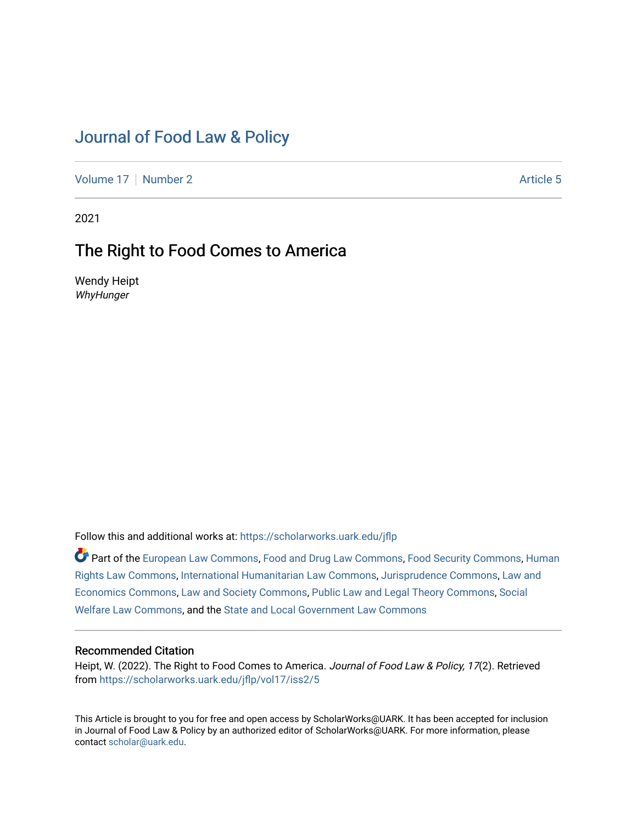# [Journal of Food Law & Policy](https://scholarworks.uark.edu/jflp)

[Volume 17](https://scholarworks.uark.edu/jflp/vol17) | [Number 2](https://scholarworks.uark.edu/jflp/vol17/iss2) Article 5

2021

## The Right to Food Comes to America

Wendy Heipt WhyHunger

Follow this and additional works at: [https://scholarworks.uark.edu/jflp](https://scholarworks.uark.edu/jflp?utm_source=scholarworks.uark.edu%2Fjflp%2Fvol17%2Fiss2%2F5&utm_medium=PDF&utm_campaign=PDFCoverPages) 

Part of the [European Law Commons,](http://network.bepress.com/hgg/discipline/1084?utm_source=scholarworks.uark.edu%2Fjflp%2Fvol17%2Fiss2%2F5&utm_medium=PDF&utm_campaign=PDFCoverPages) [Food and Drug Law Commons,](http://network.bepress.com/hgg/discipline/844?utm_source=scholarworks.uark.edu%2Fjflp%2Fvol17%2Fiss2%2F5&utm_medium=PDF&utm_campaign=PDFCoverPages) [Food Security Commons](http://network.bepress.com/hgg/discipline/1332?utm_source=scholarworks.uark.edu%2Fjflp%2Fvol17%2Fiss2%2F5&utm_medium=PDF&utm_campaign=PDFCoverPages), [Human](http://network.bepress.com/hgg/discipline/847?utm_source=scholarworks.uark.edu%2Fjflp%2Fvol17%2Fiss2%2F5&utm_medium=PDF&utm_campaign=PDFCoverPages) [Rights Law Commons,](http://network.bepress.com/hgg/discipline/847?utm_source=scholarworks.uark.edu%2Fjflp%2Fvol17%2Fiss2%2F5&utm_medium=PDF&utm_campaign=PDFCoverPages) [International Humanitarian Law Commons](http://network.bepress.com/hgg/discipline/1330?utm_source=scholarworks.uark.edu%2Fjflp%2Fvol17%2Fiss2%2F5&utm_medium=PDF&utm_campaign=PDFCoverPages), [Jurisprudence Commons,](http://network.bepress.com/hgg/discipline/610?utm_source=scholarworks.uark.edu%2Fjflp%2Fvol17%2Fiss2%2F5&utm_medium=PDF&utm_campaign=PDFCoverPages) [Law and](http://network.bepress.com/hgg/discipline/612?utm_source=scholarworks.uark.edu%2Fjflp%2Fvol17%2Fiss2%2F5&utm_medium=PDF&utm_campaign=PDFCoverPages) [Economics Commons,](http://network.bepress.com/hgg/discipline/612?utm_source=scholarworks.uark.edu%2Fjflp%2Fvol17%2Fiss2%2F5&utm_medium=PDF&utm_campaign=PDFCoverPages) [Law and Society Commons](http://network.bepress.com/hgg/discipline/853?utm_source=scholarworks.uark.edu%2Fjflp%2Fvol17%2Fiss2%2F5&utm_medium=PDF&utm_campaign=PDFCoverPages), [Public Law and Legal Theory Commons,](http://network.bepress.com/hgg/discipline/871?utm_source=scholarworks.uark.edu%2Fjflp%2Fvol17%2Fiss2%2F5&utm_medium=PDF&utm_campaign=PDFCoverPages) [Social](http://network.bepress.com/hgg/discipline/878?utm_source=scholarworks.uark.edu%2Fjflp%2Fvol17%2Fiss2%2F5&utm_medium=PDF&utm_campaign=PDFCoverPages) [Welfare Law Commons](http://network.bepress.com/hgg/discipline/878?utm_source=scholarworks.uark.edu%2Fjflp%2Fvol17%2Fiss2%2F5&utm_medium=PDF&utm_campaign=PDFCoverPages), and the [State and Local Government Law Commons](http://network.bepress.com/hgg/discipline/879?utm_source=scholarworks.uark.edu%2Fjflp%2Fvol17%2Fiss2%2F5&utm_medium=PDF&utm_campaign=PDFCoverPages)

### Recommended Citation

Heipt, W. (2022). The Right to Food Comes to America. Journal of Food Law & Policy, 17(2). Retrieved from [https://scholarworks.uark.edu/jflp/vol17/iss2/5](https://scholarworks.uark.edu/jflp/vol17/iss2/5?utm_source=scholarworks.uark.edu%2Fjflp%2Fvol17%2Fiss2%2F5&utm_medium=PDF&utm_campaign=PDFCoverPages)

This Article is brought to you for free and open access by ScholarWorks@UARK. It has been accepted for inclusion in Journal of Food Law & Policy by an authorized editor of ScholarWorks@UARK. For more information, please contact [scholar@uark.edu.](mailto:scholar@uark.edu)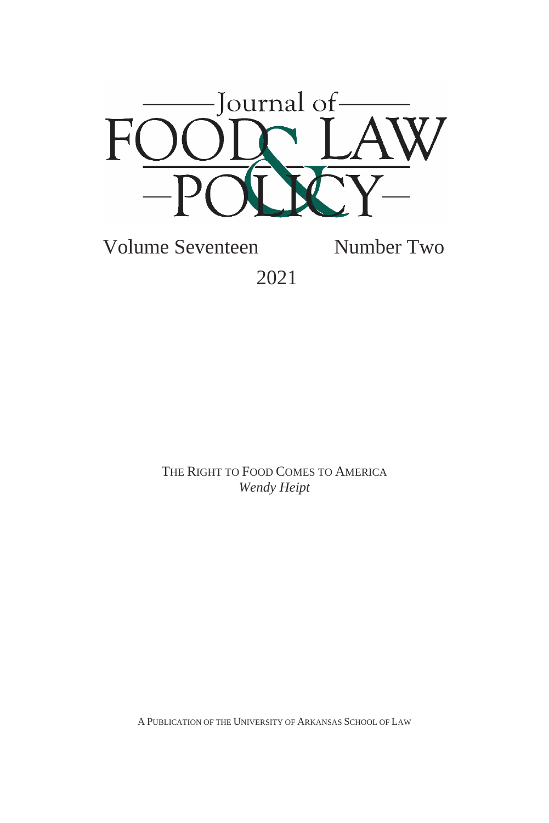

Volume Seventeen Number Two 2021

> THE RIGHT TO FOOD COMES TO AMERICA *Wendy Heipt*

A PUBLICATION OF THE UNIVERSITY OF ARKANSAS SCHOOL OF LAW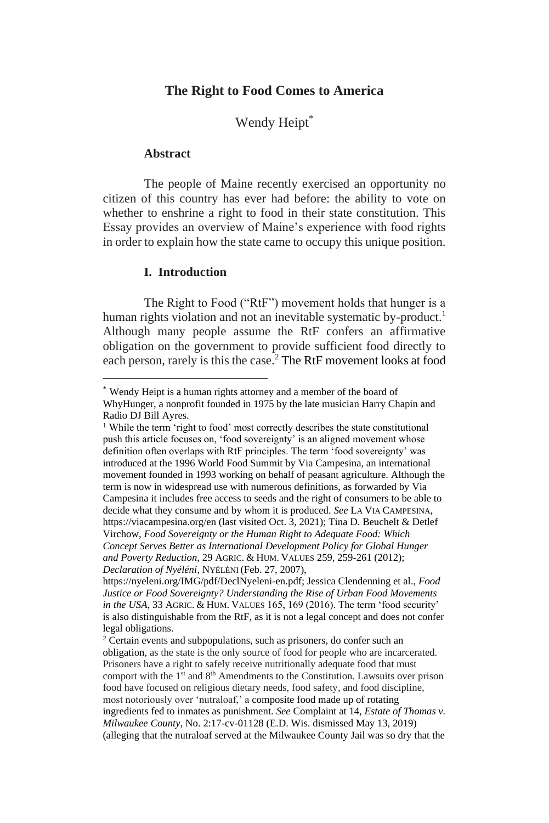#### **The Right to Food Comes to America**

Wendy Heipt\*

#### **Abstract**

The people of Maine recently exercised an opportunity no citizen of this country has ever had before: the ability to vote on whether to enshrine a right to food in their state constitution. This Essay provides an overview of Maine's experience with food rights in order to explain how the state came to occupy this unique position.

#### **I. Introduction**

The Right to Food ("RtF") movement holds that hunger is a human rights violation and not an inevitable systematic by-product.<sup>1</sup> Although many people assume the RtF confers an affirmative obligation on the government to provide sufficient food directly to each person, rarely is this the case. <sup>2</sup> The RtF movement looks at food

<sup>\*</sup> Wendy Heipt is a human rights attorney and a member of the board of WhyHunger, a nonprofit founded in 1975 by the late musician Harry Chapin and Radio DJ Bill Ayres.

<sup>&</sup>lt;sup>1</sup> While the term 'right to food' most correctly describes the state constitutional push this article focuses on, 'food sovereignty' is an aligned movement whose definition often overlaps with RtF principles. The term 'food sovereignty' was introduced at the 1996 World Food Summit by Via Campesina, an international movement founded in 1993 working on behalf of peasant agriculture. Although the term is now in widespread use with numerous definitions, as forwarded by Via Campesina it includes free access to seeds and the right of consumers to be able to decide what they consume and by whom it is produced. *See* LA VIA CAMPESINA*,*  https://viacampesina.org/en (last visited Oct. 3, 2021); Tina D. Beuchelt & Detlef Virchow, *Food Sovereignty or the Human Right to Adequate Food: Which Concept Serves Better as International Development Policy for Global Hunger and Poverty Reduction,* 29 AGRIC. & HUM. VALUES 259, 259-261 (2012); *Declaration of Nyéléni*, NYÉLÉNI (Feb. 27, 2007),

https://nyeleni.org/IMG/pdf/DeclNyeleni-en.pdf; Jessica Clendenning et al., *Food Justice or Food Sovereignty? Understanding the Rise of Urban Food Movements in the USA*, 33 AGRIC. & HUM. VALUES 165, 169 (2016). The term 'food security' is also distinguishable from the RtF, as it is not a legal concept and does not confer legal obligations.

<sup>2</sup> Certain events and subpopulations, such as prisoners, do confer such an obligation, as the state is the only source of food for people who are incarcerated. Prisoners have a right to safely receive nutritionally adequate food that must comport with the 1<sup>st</sup> and 8<sup>th</sup> Amendments to the Constitution. Lawsuits over prison food have focused on religious dietary needs, food safety, and food discipline, most notoriously over 'nutraloaf,' a composite food made up of rotating ingredients fed to inmates as punishment. *See* Complaint at 14, *Estate of Thomas v. Milwaukee County*, No. 2:17-cv-01128 (E.D. Wis. dismissed May 13, 2019) (alleging that the nutraloaf served at the Milwaukee County Jail was so dry that the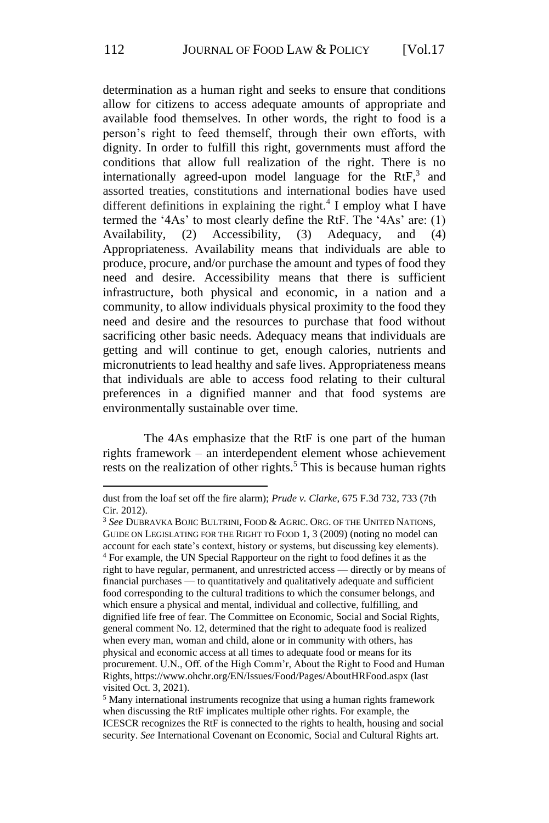determination as a human right and seeks to ensure that conditions allow for citizens to access adequate amounts of appropriate and available food themselves. In other words, the right to food is a person's right to feed themself, through their own efforts, with dignity. In order to fulfill this right, governments must afford the conditions that allow full realization of the right. There is no internationally agreed-upon model language for the  $RtF<sub>1</sub><sup>3</sup>$  and assorted treaties, constitutions and international bodies have used different definitions in explaining the right. $4$  I employ what I have termed the '4As' to most clearly define the RtF. The '4As' are: (1) Availability, (2) Accessibility, (3) Adequacy, and (4) Appropriateness. Availability means that individuals are able to produce, procure, and/or purchase the amount and types of food they need and desire. Accessibility means that there is sufficient infrastructure, both physical and economic, in a nation and a community, to allow individuals physical proximity to the food they need and desire and the resources to purchase that food without sacrificing other basic needs. Adequacy means that individuals are getting and will continue to get, enough calories, nutrients and micronutrients to lead healthy and safe lives. Appropriateness means that individuals are able to access food relating to their cultural preferences in a dignified manner and that food systems are environmentally sustainable over time.

The 4As emphasize that the RtF is one part of the human rights framework – an interdependent element whose achievement rests on the realization of other rights.<sup>5</sup> This is because human rights

dust from the loaf set off the fire alarm); *Prude v. Clarke*, 675 F.3d 732, 733 (7th Cir. 2012).

<sup>3</sup> *See* DUBRAVKA BOJIC BULTRINI, FOOD & AGRIC. ORG. OF THE UNITED NATIONS, GUIDE ON LEGISLATING FOR THE RIGHT TO FOOD 1, 3 (2009) (noting no model can account for each state's context, history or systems, but discussing key elements). <sup>4</sup> For example, the UN Special Rapporteur on the right to food defines it as the right to have regular, permanent, and unrestricted access — directly or by means of financial purchases — to quantitatively and qualitatively adequate and sufficient food corresponding to the cultural traditions to which the consumer belongs, and which ensure a physical and mental, individual and collective, fulfilling, and dignified life free of fear. The Committee on Economic, Social and Social Rights, general comment No. 12, determined that the right to adequate food is realized when every man, woman and child, alone or in community with others, has physical and economic access at all times to adequate food or means for its procurement. U.N., Off. of the High Comm'r, About the Right to Food and Human Rights, https://www.ohchr.org/EN/Issues/Food/Pages/AboutHRFood.aspx (last visited Oct. 3, 2021).

<sup>5</sup> Many international instruments recognize that using a human rights framework when discussing the RtF implicates multiple other rights. For example, the ICESCR recognizes the RtF is connected to the rights to health, housing and social security. *See* International Covenant on Economic, Social and Cultural Rights art.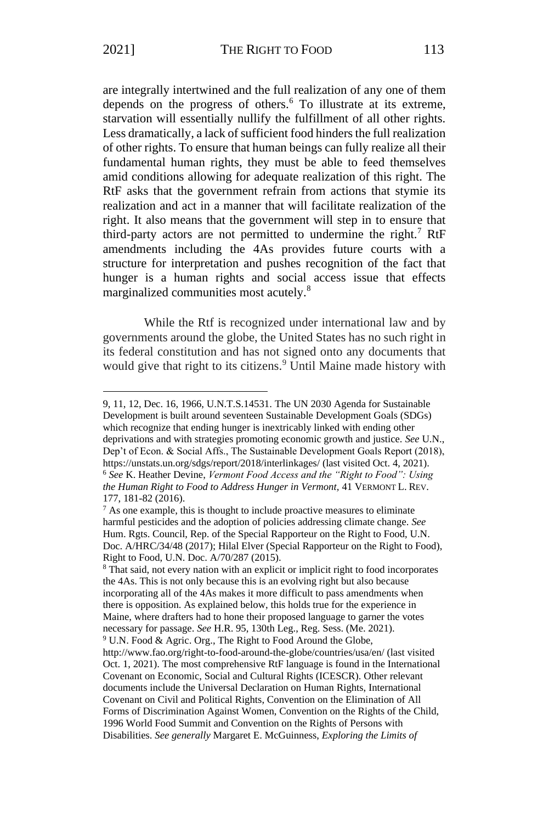are integrally intertwined and the full realization of any one of them depends on the progress of others.<sup>6</sup> To illustrate at its extreme, starvation will essentially nullify the fulfillment of all other rights. Less dramatically, a lack of sufficient food hinders the full realization of other rights. To ensure that human beings can fully realize all their fundamental human rights, they must be able to feed themselves amid conditions allowing for adequate realization of this right. The RtF asks that the government refrain from actions that stymie its realization and act in a manner that will facilitate realization of the right. It also means that the government will step in to ensure that third-party actors are not permitted to undermine the right.<sup>7</sup> RtF amendments including the 4As provides future courts with a structure for interpretation and pushes recognition of the fact that hunger is a human rights and social access issue that effects marginalized communities most acutely.<sup>8</sup>

While the Rtf is recognized under international law and by governments around the globe, the United States has no such right in its federal constitution and has not signed onto any documents that would give that right to its citizens.<sup>9</sup> Until Maine made history with

<sup>9, 11, 12,</sup> Dec. 16, 1966, U.N.T.S.14531. The UN 2030 Agenda for Sustainable Development is built around seventeen Sustainable Development Goals (SDGs) which recognize that ending hunger is inextricably linked with ending other deprivations and with strategies promoting economic growth and justice. *See* U.N., Dep't of Econ. & Social Affs., The Sustainable Development Goals Report (2018), https://unstats.un.org/sdgs/report/2018/interlinkages/ (last visited Oct. 4, 2021). <sup>6</sup> *See* K. Heather Devine, *Vermont Food Access and the "Right to Food": Using the Human Right to Food to Address Hunger in Vermont,* 41 VERMONT L. REV. 177, 181-82 (2016).

 $<sup>7</sup>$  As one example, this is thought to include proactive measures to eliminate</sup> harmful pesticides and the adoption of policies addressing climate change. *See* Hum. Rgts. Council, Rep. of the Special Rapporteur on the Right to Food, U.N. Doc. A/HRC/34/48 (2017); Hilal Elver (Special Rapporteur on the Right to Food), Right to Food, U.N. Doc. A/70/287 (2015).

<sup>8</sup> That said, not every nation with an explicit or implicit right to food incorporates the 4As. This is not only because this is an evolving right but also because incorporating all of the 4As makes it more difficult to pass amendments when there is opposition. As explained below, this holds true for the experience in Maine, where drafters had to hone their proposed language to garner the votes necessary for passage. *See* H.R. 95, 130th Leg., Reg. Sess. (Me. 2021). <sup>9</sup> U.N. Food & Agric. Org., The Right to Food Around the Globe, http://www.fao.org/right-to-food-around-the-globe/countries/usa/en/ (last visited Oct. 1, 2021). The most comprehensive RtF language is found in the International Covenant on Economic, Social and Cultural Rights (ICESCR). Other relevant documents include the Universal Declaration on Human Rights, International Covenant on Civil and Political Rights, Convention on the Elimination of All Forms of Discrimination Against Women, Convention on the Rights of the Child, 1996 World Food Summit and Convention on the Rights of Persons with Disabilities. *See generally* Margaret E. McGuinness, *Exploring the Limits of*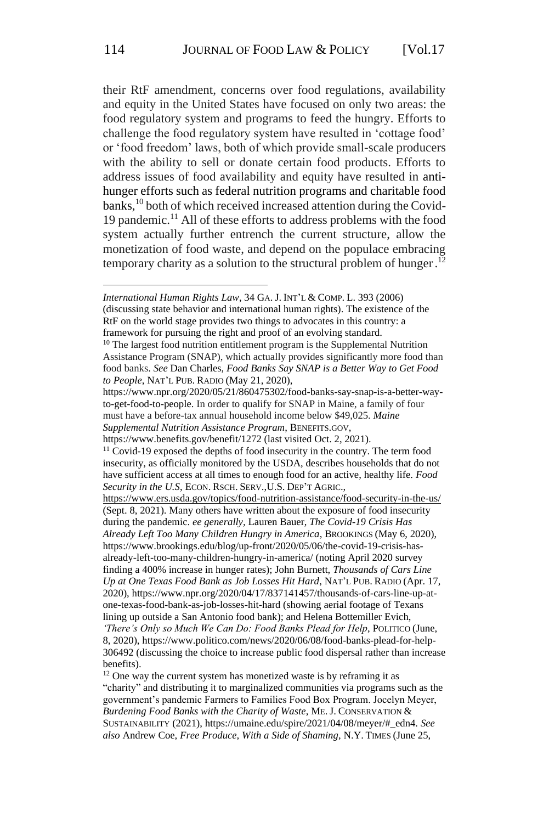their RtF amendment, concerns over food regulations, availability and equity in the United States have focused on only two areas: the food regulatory system and programs to feed the hungry. Efforts to challenge the food regulatory system have resulted in 'cottage food' or 'food freedom' laws, both of which provide small-scale producers with the ability to sell or donate certain food products. Efforts to address issues of food availability and equity have resulted in antihunger efforts such as federal nutrition programs and charitable food banks,<sup>10</sup> both of which received increased attention during the Covid-19 pandemic.<sup>11</sup> All of these efforts to address problems with the food system actually further entrench the current structure, allow the monetization of food waste, and depend on the populace embracing temporary charity as a solution to the structural problem of hunger.<sup>12</sup>

(discussing state behavior and international human rights). The existence of the RtF on the world stage provides two things to advocates in this country: a framework for pursuing the right and proof of an evolving standard.

https://www.benefits.gov/benefit/1272 (last visited Oct. 2, 2021).

8, 2020), https://www.politico.com/news/2020/06/08/food-banks-plead-for-help-306492 (discussing the choice to increase public food dispersal rather than increase benefits).

*International Human Rights Law*, 34 GA. J. INT'L & COMP. L. 393 (2006)

<sup>&</sup>lt;sup>10</sup> The largest food nutrition entitlement program is the Supplemental Nutrition Assistance Program (SNAP), which actually provides significantly more food than food banks. *See* Dan Charles, *Food Banks Say SNAP is a Better Way to Get Food to People*, NAT'L PUB. RADIO (May 21, 2020),

https://www.npr.org/2020/05/21/860475302/food-banks-say-snap-is-a-better-wayto-get-food-to-people. In order to qualify for SNAP in Maine, a family of four must have a before-tax annual household income below \$49,025. *Maine Supplemental Nutrition Assistance Program*, BENEFITS.GOV,

<sup>&</sup>lt;sup>11</sup> Covid-19 exposed the depths of food insecurity in the country. The term food insecurity, as officially monitored by the USDA, describes households that do not have sufficient access at all times to enough food for an active, healthy life. *Food Security in the U.S*, ECON. RSCH. SERV.,U.S. DEP'T AGRIC.,

<https://www.ers.usda.gov/topics/food-nutrition-assistance/food-security-in-the-us/> (Sept. 8, 2021). Many others have written about the exposure of food insecurity during the pandemic. *ee generally,* Lauren Bauer, *The Covid-19 Crisis Has Already Left Too Many Children Hungry in America*, BROOKINGS (May 6, 2020), https://www.brookings.edu/blog/up-front/2020/05/06/the-covid-19-crisis-hasalready-left-too-many-children-hungry-in-america/ (noting April 2020 survey finding a 400% increase in hunger rates); John Burnett, *Thousands of Cars Line Up at One Texas Food Bank as Job Losses Hit Hard*, NAT'L PUB. RADIO (Apr. 17, 2020), https://www.npr.org/2020/04/17/837141457/thousands-of-cars-line-up-atone-texas-food-bank-as-job-losses-hit-hard (showing aerial footage of Texans lining up outside a San Antonio food bank); and Helena Bottemiller Evich, *'There's Only so Much We Can Do: Food Banks Plead for Help*, POLITICO (June,

<sup>&</sup>lt;sup>12</sup> One way the current system has monetized waste is by reframing it as "charity" and distributing it to marginalized communities via programs such as the government's pandemic Farmers to Families Food Box Program. Jocelyn Meyer, *Burdening Food Banks with the Charity of Waste*, ME. J. CONSERVATION & SUSTAINABILITY (2021), https://umaine.edu/spire/2021/04/08/meyer/#\_edn4. *See also* Andrew Coe, *Free Produce, With a Side of Shaming*, N.Y. TIMES (June 25,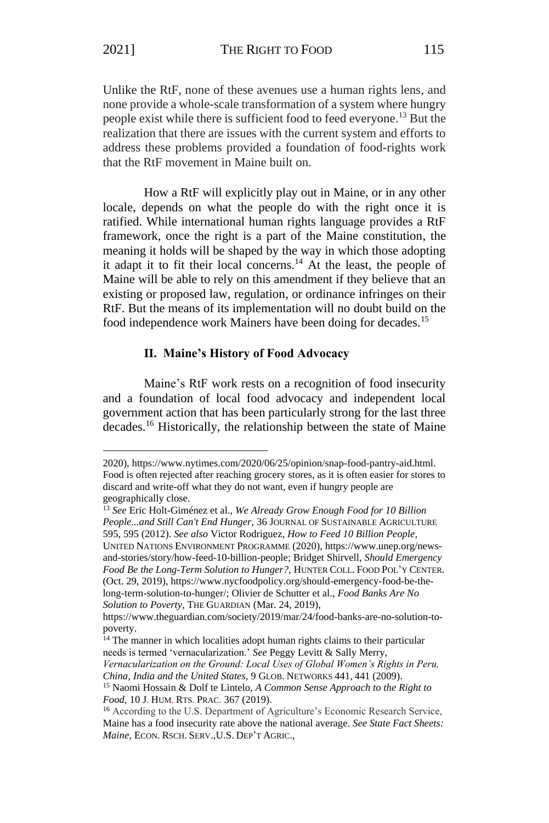Unlike the RtF, none of these avenues use a human rights lens, and none provide a whole-scale transformation of a system where hungry people exist while there is sufficient food to feed everyone.<sup>13</sup> But the realization that there are issues with the current system and efforts to address these problems provided a foundation of food-rights work that the RtF movement in Maine built on.

How a RtF will explicitly play out in Maine, or in any other locale, depends on what the people do with the right once it is ratified. While international human rights language provides a RtF framework, once the right is a part of the Maine constitution, the meaning it holds will be shaped by the way in which those adopting it adapt it to fit their local concerns.<sup>14</sup> At the least, the people of Maine will be able to rely on this amendment if they believe that an existing or proposed law, regulation, or ordinance infringes on their RtF. But the means of its implementation will no doubt build on the food independence work Mainers have been doing for decades.<sup>15</sup>

#### **II. Maine's History of Food Advocacy**

Maine's RtF work rests on a recognition of food insecurity and a foundation of local food advocacy and independent local government action that has been particularly strong for the last three decades.<sup>16</sup> Historically, the relationship between the state of Maine

<sup>2020),</sup> https://www.nytimes.com/2020/06/25/opinion/snap-food-pantry-aid.html. Food is often rejected after reaching grocery stores, as it is often easier for stores to discard and write-off what they do not want, even if hungry people are geographically close.

<sup>13</sup> *See* Eric Holt-Giménez et al., *We Already Grow Enough Food for 10 Billion People...and Still Can't End Hunger,* 36 JOURNAL OF SUSTAINABLE AGRICULTURE 595, 595 (2012). *See also* Victor Rodriguez, *How to Feed 10 Billion People,*  UNITED NATIONS ENVIRONMENT PROGRAMME (2020), https://www.unep.org/newsand-stories/story/how-feed-10-billion-people; Bridget Shirvell, *Should Emergency Food Be the Long-Term Solution to Hunger?,* HUNTER COLL. FOOD POL'Y CENTER. (Oct. 29, 2019), https://www.nycfoodpolicy.org/should-emergency-food-be-thelong-term-solution-to-hunger/; Olivier de Schutter et al., *Food Banks Are No Solution to Poverty*, THE GUARDIAN (Mar. 24, 2019),

https://www.theguardian.com/society/2019/mar/24/food-banks-are-no-solution-topoverty.

<sup>&</sup>lt;sup>14</sup> The manner in which localities adopt human rights claims to their particular needs is termed 'vernacularization.' *See* Peggy Levitt & Sally Merry, *Vernacularization on the Ground: Local Uses of Global Women's Rights in Peru, China, India and the United States,* 9 GLOB. NETWORKS 441, 441 (2009).

<sup>15</sup> Naomi Hossain & Dolf te Lintelo, *A Common Sense Approach to the Right to Food,* 10 J. HUM. RTS. PRAC. 367 (2019).

<sup>16</sup> According to the U.S. Department of Agriculture's Economic Research Service, Maine has a food insecurity rate above the national average. *See State Fact Sheets: Maine,* ECON. RSCH. SERV.,U.S. DEP'T AGRIC.,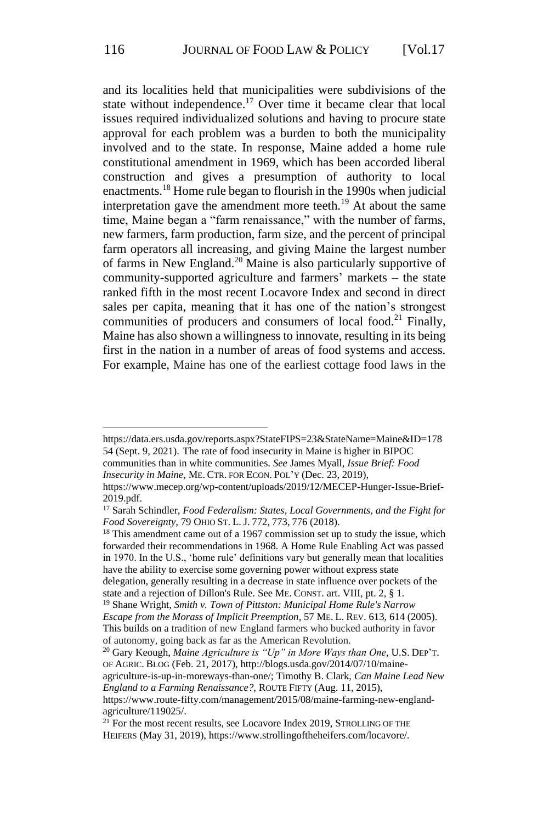and its localities held that municipalities were subdivisions of the state without independence.<sup>17</sup> Over time it became clear that local issues required individualized solutions and having to procure state approval for each problem was a burden to both the municipality involved and to the state. In response, Maine added a home rule constitutional amendment in 1969, which has been accorded liberal construction and gives a presumption of authority to local enactments.<sup>18</sup> Home rule began to flourish in the 1990s when judicial interpretation gave the amendment more teeth.<sup>19</sup> At about the same time, Maine began a "farm renaissance," with the number of farms, new farmers, farm production, farm size, and the percent of principal farm operators all increasing, and giving Maine the largest number of farms in New England.<sup>20</sup> Maine is also particularly supportive of community-supported agriculture and farmers' markets – the state ranked fifth in the most recent Locavore Index and second in direct sales per capita, meaning that it has one of the nation's strongest communities of producers and consumers of local food.<sup>21</sup> Finally, Maine has also shown a willingness to innovate, resulting in its being first in the nation in a number of areas of food systems and access. For example, Maine has one of the earliest cottage food laws in the

https://data.ers.usda.gov/reports.aspx?StateFIPS=23&StateName=Maine&ID=178 54 (Sept. 9, 2021). The rate of food insecurity in Maine is higher in BIPOC

communities than in white communities. *See* James Myall, *Issue Brief: Food* 

*Insecurity in Maine,* ME. CTR. FOR ECON. POL'Y (Dec. 23, 2019), https://www.mecep.org/wp-content/uploads/2019/12/MECEP-Hunger-Issue-Brief-2019.pdf.

<sup>17</sup> Sarah Schindler, *Food Federalism: States, Local Governments, and the Fight for Food Sovereignty*, 79 OHIO ST. L. J. 772, 773, 776 (2018).

<sup>&</sup>lt;sup>18</sup> This amendment came out of a 1967 commission set up to study the issue, which forwarded their recommendations in 1968. A Home Rule Enabling Act was passed in 1970. In the U.S., 'home rule' definitions vary but generally mean that localities have the ability to exercise some governing power without express state

delegation, generally resulting in a decrease in state influence over pockets of the state and a rejection of Dillon's Rule. See ME. CONST. art. VIII, pt. 2, § 1.

<sup>19</sup> Shane Wright, *Smith v. Town of Pittston: Municipal Home Rule's Narrow Escape from the Morass of Implicit Preemption*, 57 ME. L. REV. 613, 614 (2005). This builds on a tradition of new England farmers who bucked authority in favor of autonomy, going back as far as the American Revolution.

<sup>20</sup> Gary Keough, *Maine Agriculture is "Up" in More Ways than One*, U.S. DEP'T. OF AGRIC. BLOG (Feb. 21, 2017), http://blogs.usda.gov/2014/07/10/maine-

agriculture-is-up-in-moreways-than-one/; Timothy B. Clark, *Can Maine Lead New England to a Farming Renaissance?,* ROUTE FIFTY (Aug. 11, 2015),

https://www.route-fifty.com/management/2015/08/maine-farming-new-englandagriculture/119025/.

<sup>&</sup>lt;sup>21</sup> For the most recent results, see Locavore Index 2019, STROLLING OF THE HEIFERS (May 31, 2019), https://www.strollingoftheheifers.com/locavore/.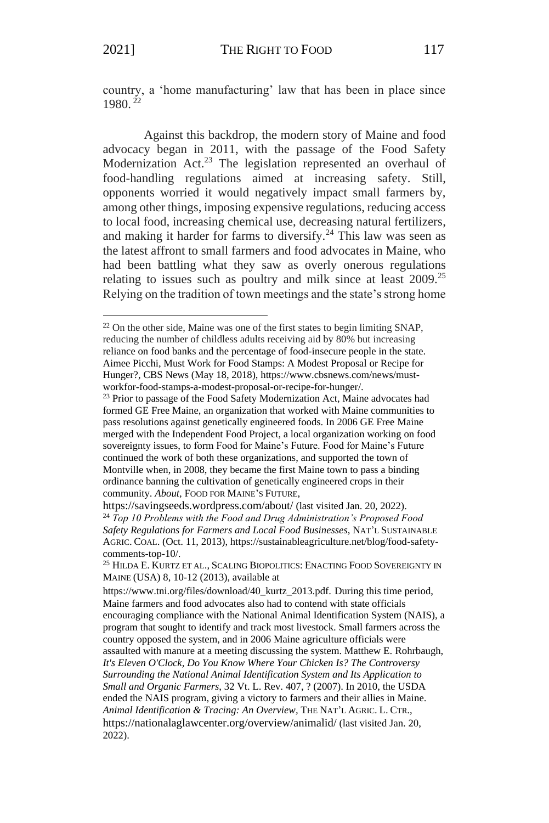country, a 'home manufacturing' law that has been in place since 1980. <sup>22</sup>

Against this backdrop, the modern story of Maine and food advocacy began in 2011, with the passage of the Food Safety Modernization Act.<sup>23</sup> The legislation represented an overhaul of food-handling regulations aimed at increasing safety. Still, opponents worried it would negatively impact small farmers by, among other things, imposing expensive regulations, reducing access to local food, increasing chemical use, decreasing natural fertilizers, and making it harder for farms to diversify.<sup>24</sup> This law was seen as the latest affront to small farmers and food advocates in Maine, who had been battling what they saw as overly onerous regulations relating to issues such as poultry and milk since at least  $2009$ .<sup>25</sup> Relying on the tradition of town meetings and the state's strong home

<sup>22</sup> On the other side, Maine was one of the first states to begin limiting SNAP, reducing the number of childless adults receiving aid by 80% but increasing reliance on food banks and the percentage of food-insecure people in the state. Aimee Picchi, Must Work for Food Stamps: A Modest Proposal or Recipe for Hunger?, CBS News (May 18, 2018), https://www.cbsnews.com/news/mustworkfor-food-stamps-a-modest-proposal-or-recipe-for-hunger/.

<sup>&</sup>lt;sup>23</sup> Prior to passage of the Food Safety Modernization Act, Maine advocates had formed GE Free Maine, an organization that worked with Maine communities to pass resolutions against genetically engineered foods. In 2006 GE Free Maine merged with the Independent Food Project, a local organization working on food sovereignty issues, to form Food for Maine's Future. Food for Maine's Future continued the work of both these organizations, and supported the town of Montville when, in 2008, they became the first Maine town to pass a binding ordinance banning the cultivation of genetically engineered crops in their community. *About*, FOOD FOR MAINE'S FUTURE,

https://savingseeds.wordpress.com/about/ (last visited Jan. 20, 2022). <sup>24</sup> *Top 10 Problems with the Food and Drug Administration's Proposed Food Safety Regulations for Farmers and Local Food Businesses*, NAT'L SUSTAINABLE AGRIC. COAL. (Oct. 11, 2013), https://sustainableagriculture.net/blog/food-safetycomments-top-10/.

<sup>&</sup>lt;sup>25</sup> HILDA E. KURTZ ET AL., SCALING BIOPOLITICS: ENACTING FOOD SOVEREIGNTY IN MAINE (USA) 8, 10-12 (2013), available at

https://www.tni.org/files/download/40\_kurtz\_2013.pdf. During this time period, Maine farmers and food advocates also had to contend with state officials encouraging compliance with the National Animal Identification System (NAIS), a program that sought to identify and track most livestock. Small farmers across the country opposed the system, and in 2006 Maine agriculture officials were assaulted with manure at a meeting discussing the system. Matthew E. Rohrbaugh, *It's Eleven O'Clock, Do You Know Where Your Chicken Is? The Controversy Surrounding the National Animal Identification System and Its Application to Small and Organic Farmers*, 32 Vt. L. Rev. 407, ? (2007). In 2010, the USDA ended the NAIS program, giving a victory to farmers and their allies in Maine. *Animal Identification & Tracing: An Overview,* THE NAT'L AGRIC. L. CTR., https://nationalaglawcenter.org/overview/animalid/ (last visited Jan. 20, 2022).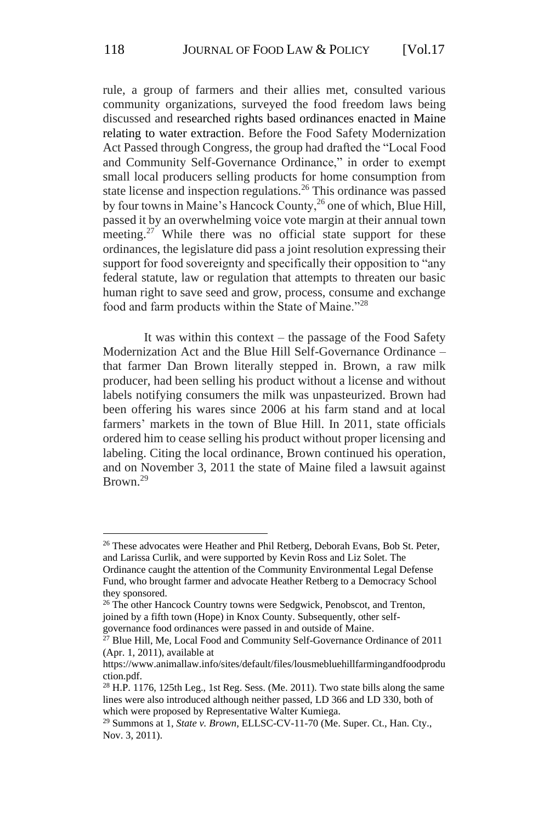rule, a group of farmers and their allies met, consulted various community organizations, surveyed the food freedom laws being discussed and researched rights based ordinances enacted in Maine relating to water extraction. Before the Food Safety Modernization Act Passed through Congress, the group had drafted the "Local Food and Community Self-Governance Ordinance," in order to exempt small local producers selling products for home consumption from state license and inspection regulations.<sup>26</sup> This ordinance was passed by four towns in Maine's Hancock County,<sup>26</sup> one of which, Blue Hill, passed it by an overwhelming voice vote margin at their annual town meeting.<sup>27</sup> While there was no official state support for these ordinances, the legislature did pass a joint resolution expressing their support for food sovereignty and specifically their opposition to "any federal statute, law or regulation that attempts to threaten our basic human right to save seed and grow, process, consume and exchange food and farm products within the State of Maine."<sup>28</sup>

It was within this context – the passage of the Food Safety Modernization Act and the Blue Hill Self-Governance Ordinance – that farmer Dan Brown literally stepped in. Brown, a raw milk producer, had been selling his product without a license and without labels notifying consumers the milk was unpasteurized. Brown had been offering his wares since 2006 at his farm stand and at local farmers' markets in the town of Blue Hill. In 2011, state officials ordered him to cease selling his product without proper licensing and labeling. Citing the local ordinance, Brown continued his operation, and on November 3, 2011 the state of Maine filed a lawsuit against Brown.<sup>29</sup>

<sup>&</sup>lt;sup>26</sup> These advocates were Heather and Phil Retberg, Deborah Evans, Bob St. Peter, and Larissa Curlik, and were supported by Kevin Ross and Liz Solet. The

Ordinance caught the attention of the Community Environmental Legal Defense Fund, who brought farmer and advocate Heather Retberg to a Democracy School they sponsored.

<sup>&</sup>lt;sup>26</sup> The other Hancock Country towns were Sedgwick, Penobscot, and Trenton, joined by a fifth town (Hope) in Knox County. Subsequently, other selfgovernance food ordinances were passed in and outside of Maine.

 $^{27}$  Blue Hill, Me, Local Food and Community Self-Governance Ordinance of 2011 (Apr. 1, 2011), available at

https://www.animallaw.info/sites/default/files/lousmebluehillfarmingandfoodprodu ction.pdf.

 $28$  H.P. 1176, 125th Leg., 1st Reg. Sess. (Me. 2011). Two state bills along the same lines were also introduced although neither passed, LD 366 and LD 330, both of which were proposed by Representative Walter Kumiega.

<sup>29</sup> Summons at 1, *State v. Brown*, ELLSC-CV-11-70 (Me. Super. Ct., Han. Cty., Nov. 3, 2011).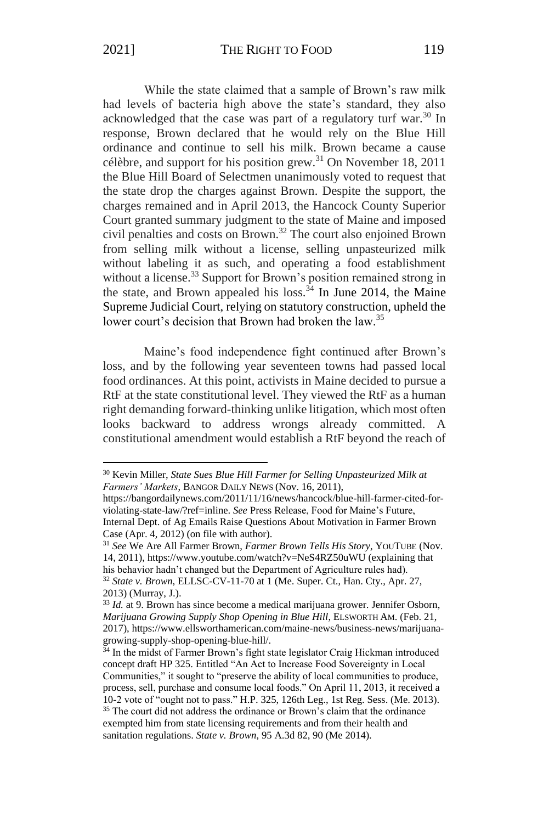While the state claimed that a sample of Brown's raw milk had levels of bacteria high above the state's standard, they also acknowledged that the case was part of a regulatory turf war.<sup>30</sup> In response, Brown declared that he would rely on the Blue Hill ordinance and continue to sell his milk. Brown became a cause célèbre, and support for his position grew.<sup>31</sup> On November 18, 2011 the Blue Hill Board of Selectmen unanimously voted to request that the state drop the charges against Brown. Despite the support, the charges remained and in April 2013, the Hancock County Superior Court granted summary judgment to the state of Maine and imposed civil penalties and costs on Brown.<sup>32</sup> The court also enjoined Brown from selling milk without a license, selling unpasteurized milk without labeling it as such, and operating a food establishment without a license.<sup>33</sup> Support for Brown's position remained strong in the state, and Brown appealed his loss.<sup> $34$ </sup> In June 2014, the Maine Supreme Judicial Court, relying on statutory construction, upheld the lower court's decision that Brown had broken the law.<sup>35</sup>

Maine's food independence fight continued after Brown's loss, and by the following year seventeen towns had passed local food ordinances. At this point, activists in Maine decided to pursue a RtF at the state constitutional level. They viewed the RtF as a human right demanding forward-thinking unlike litigation, which most often looks backward to address wrongs already committed. A constitutional amendment would establish a RtF beyond the reach of

<sup>30</sup> Kevin Miller, *State Sues Blue Hill Farmer for Selling Unpasteurized Milk at Farmers' Markets*, BANGOR DAILY NEWS (Nov. 16, 2011),

https://bangordailynews.com/2011/11/16/news/hancock/blue-hill-farmer-cited-forviolating-state-law/?ref=inline. *See* Press Release, Food for Maine's Future, Internal Dept. of Ag Emails Raise Questions About Motivation in Farmer Brown Case (Apr. 4, 2012) (on file with author).

<sup>31</sup> *See* We Are All Farmer Brown, *Farmer Brown Tells His Story*, YOUTUBE (Nov. 14, 2011), https://www.youtube.com/watch?v=NeS4RZ50uWU (explaining that his behavior hadn't changed but the Department of Agriculture rules had).

<sup>32</sup> *State v. Brown*, ELLSC-CV-11-70 at 1 (Me. Super. Ct., Han. Cty., Apr. 27, 2013) (Murray, J.).

<sup>&</sup>lt;sup>33</sup> *Id.* at 9. Brown has since become a medical marijuana grower. Jennifer Osborn, *Marijuana Growing Supply Shop Opening in Blue Hill*, ELSWORTH AM. (Feb. 21, 2017), https://www.ellsworthamerican.com/maine-news/business-news/marijuanagrowing-supply-shop-opening-blue-hill/.

<sup>&</sup>lt;sup>34</sup> In the midst of Farmer Brown's fight state legislator Craig Hickman introduced concept draft HP 325. Entitled "An Act to Increase Food Sovereignty in Local Communities," it sought to "preserve the ability of local communities to produce, process, sell, purchase and consume local foods." On April 11, 2013, it received a 10-2 vote of "ought not to pass." H.P. 325, 126th Leg., 1st Reg. Sess. (Me. 2013). <sup>35</sup> The court did not address the ordinance or Brown's claim that the ordinance exempted him from state licensing requirements and from their health and sanitation regulations. *State v. Brown*, 95 A.3d 82, 90 (Me 2014).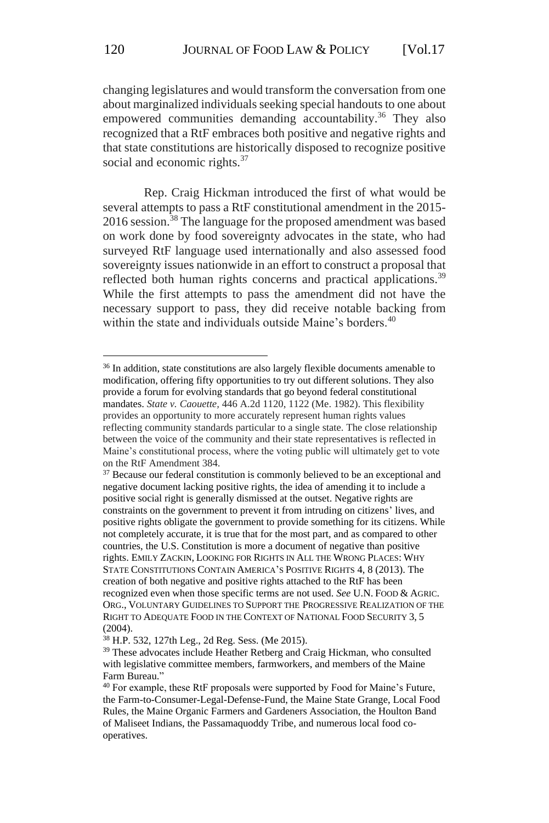changing legislatures and would transform the conversation from one about marginalized individuals seeking special handouts to one about empowered communities demanding accountability.<sup>36</sup> They also recognized that a RtF embraces both positive and negative rights and that state constitutions are historically disposed to recognize positive social and economic rights.<sup>37</sup>

Rep. Craig Hickman introduced the first of what would be several attempts to pass a RtF constitutional amendment in the 2015- 2016 session.<sup>38</sup> The language for the proposed amendment was based on work done by food sovereignty advocates in the state, who had surveyed RtF language used internationally and also assessed food sovereignty issues nationwide in an effort to construct a proposal that reflected both human rights concerns and practical applications.<sup>39</sup> While the first attempts to pass the amendment did not have the necessary support to pass, they did receive notable backing from within the state and individuals outside Maine's borders.<sup>40</sup>

<sup>&</sup>lt;sup>36</sup> In addition, state constitutions are also largely flexible documents amenable to modification, offering fifty opportunities to try out different solutions. They also provide a forum for evolving standards that go beyond federal constitutional mandates. *State v. Caouette,* 446 A.2d 1120, 1122 (Me. 1982). This flexibility provides an opportunity to more accurately represent human rights values reflecting community standards particular to a single state. The close relationship between the voice of the community and their state representatives is reflected in Maine's constitutional process, where the voting public will ultimately get to vote on the RtF Amendment 384.

<sup>&</sup>lt;sup>37</sup> Because our federal constitution is commonly believed to be an exceptional and negative document lacking positive rights, the idea of amending it to include a positive social right is generally dismissed at the outset. Negative rights are constraints on the government to prevent it from intruding on citizens' lives, and positive rights obligate the government to provide something for its citizens. While not completely accurate, it is true that for the most part, and as compared to other countries, the U.S. Constitution is more a document of negative than positive rights. EMILY ZACKIN, LOOKING FOR RIGHTS IN ALL THE WRONG PLACES: WHY STATE CONSTITUTIONS CONTAIN AMERICA'S POSITIVE RIGHTS 4, 8 (2013). The creation of both negative and positive rights attached to the RtF has been recognized even when those specific terms are not used. *See* U.N. FOOD & AGRIC. ORG., VOLUNTARY GUIDELINES TO SUPPORT THE PROGRESSIVE REALIZATION OF THE RIGHT TO ADEQUATE FOOD IN THE CONTEXT OF NATIONAL FOOD SECURITY 3, 5  $(2004)$ .

<sup>38</sup> H.P. 532, 127th Leg., 2d Reg. Sess. (Me 2015).

<sup>&</sup>lt;sup>39</sup> These advocates include Heather Retberg and Craig Hickman, who consulted with legislative committee members, farmworkers, and members of the Maine Farm Bureau."

<sup>&</sup>lt;sup>40</sup> For example, these RtF proposals were supported by Food for Maine's Future, the Farm-to-Consumer-Legal-Defense-Fund, the Maine State Grange, Local Food Rules, the Maine Organic Farmers and Gardeners Association, the Houlton Band of Maliseet Indians, the Passamaquoddy Tribe, and numerous local food cooperatives.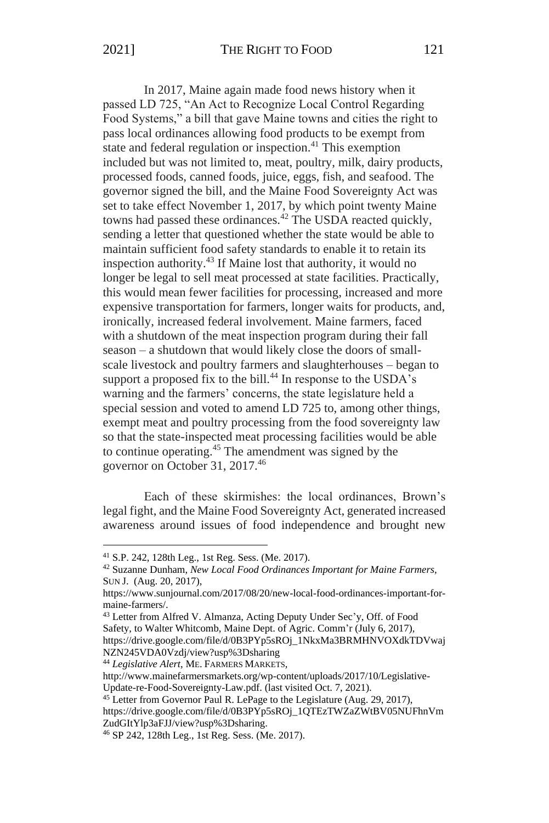In 2017, Maine again made food news history when it passed LD 725, "An Act to Recognize Local Control Regarding Food Systems," a bill that gave Maine towns and cities the right to pass local ordinances allowing food products to be exempt from state and federal regulation or inspection.<sup>41</sup> This exemption included but was not limited to, meat, poultry, milk, dairy products, processed foods, canned foods, juice, eggs, fish, and seafood. The governor signed the bill, and the Maine Food Sovereignty Act was set to take effect November 1, 2017, by which point twenty Maine towns had passed these ordinances.<sup>42</sup> The USDA reacted quickly, sending a letter that questioned whether the state would be able to maintain sufficient food safety standards to enable it to retain its inspection authority.<sup>43</sup> If Maine lost that authority, it would no longer be legal to sell meat processed at state facilities. Practically, this would mean fewer facilities for processing, increased and more expensive transportation for farmers, longer waits for products, and, ironically, increased federal involvement. Maine farmers, faced with a shutdown of the meat inspection program during their fall season – a shutdown that would likely close the doors of smallscale livestock and poultry farmers and slaughterhouses – began to support a proposed fix to the bill.<sup>44</sup> In response to the USDA's warning and the farmers' concerns, the state legislature held a special session and voted to amend LD 725 to, among other things, exempt meat and poultry processing from the food sovereignty law so that the state-inspected meat processing facilities would be able to continue operating.<sup>45</sup> The amendment was signed by the governor on October 31, 2017.<sup>46</sup>

Each of these skirmishes: the local ordinances, Brown's legal fight, and the Maine Food Sovereignty Act, generated increased awareness around issues of food independence and brought new

https://drive.google.com/file/d/0B3PYp5sROj\_1NkxMa3BRMHNVOXdkTDVwaj NZN245VDA0Vzdj/view?usp%3Dsharing

<sup>44</sup> *Legislative Alert*, ME. FARMERS MARKETS,

http://www.mainefarmersmarkets.org/wp-content/uploads/2017/10/Legislative-Update-re-Food-Sovereignty-Law.pdf. (last visited Oct. 7, 2021).

<sup>45</sup> Letter from Governor Paul R. LePage to the Legislature (Aug. 29, 2017),

https://drive.google.com/file/d/0B3PYp5sROj\_1QTEzTWZaZWtBV05NUFhnVm ZudGItYlp3aFJJ/view?usp%3Dsharing.

<sup>41</sup> S.P. 242, 128th Leg., 1st Reg. Sess. (Me. 2017).

<sup>42</sup> Suzanne Dunham, *New Local Food Ordinances Important for Maine Farmers,*  SUN J. (Aug. 20, 2017),

https://www.sunjournal.com/2017/08/20/new-local-food-ordinances-important-formaine-farmers/.

<sup>43</sup> Letter from Alfred V. Almanza, Acting Deputy Under Sec'y, Off. of Food Safety, to Walter Whitcomb, Maine Dept. of Agric. Comm'r (July 6, 2017),

<sup>46</sup> SP 242, 128th Leg., 1st Reg. Sess. (Me. 2017).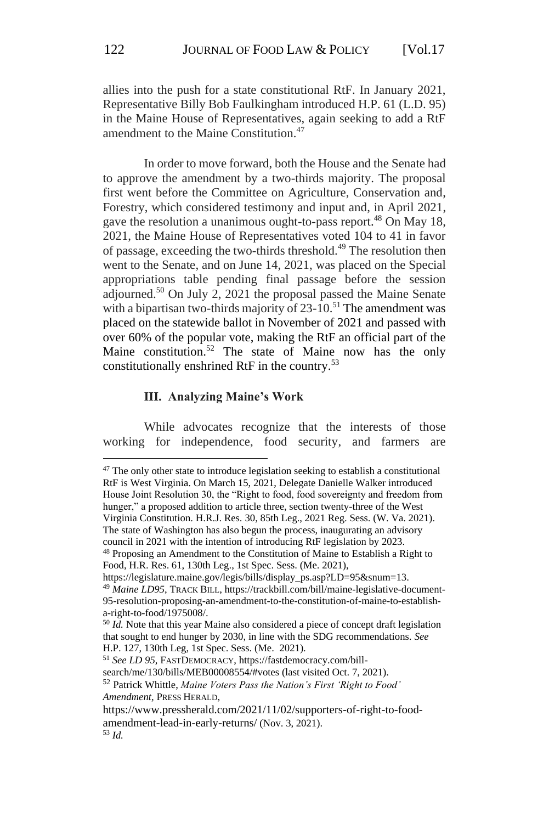allies into the push for a state constitutional RtF. In January 2021, Representative Billy Bob Faulkingham introduced H.P. 61 (L.D. 95) in the Maine House of Representatives, again seeking to add a RtF amendment to the Maine Constitution.<sup>47</sup>

In order to move forward, both the House and the Senate had to approve the amendment by a two-thirds majority. The proposal first went before the Committee on Agriculture, Conservation and, Forestry, which considered testimony and input and, in April 2021, gave the resolution a unanimous ought-to-pass report. <sup>48</sup> On May 18, 2021, the Maine House of Representatives voted 104 to 41 in favor of passage, exceeding the two-thirds threshold.<sup>49</sup> The resolution then went to the Senate, and on June 14, 2021, was placed on the Special appropriations table pending final passage before the session adjourned.<sup>50</sup> On July 2, 2021 the proposal passed the Maine Senate with a bipartisan two-thirds majority of  $23-10$ .<sup>51</sup> The amendment was placed on the statewide ballot in November of 2021 and passed with over 60% of the popular vote, making the RtF an official part of the Maine constitution.<sup>52</sup> The state of Maine now has the only constitutionally enshrined RtF in the country.<sup>53</sup>

#### **III. Analyzing Maine's Work**

While advocates recognize that the interests of those working for independence, food security, and farmers are

council in 2021 with the intention of introducing RtF legislation by 2023.

<sup>&</sup>lt;sup>47</sup> The only other state to introduce legislation seeking to establish a constitutional RtF is West Virginia. On March 15, 2021, Delegate Danielle Walker introduced House Joint Resolution 30, the "Right to food, food sovereignty and freedom from hunger," a proposed addition to article three, section twenty-three of the West Virginia Constitution. H.R.J. Res. 30, 85th Leg., 2021 Reg. Sess. (W. Va. 2021). The state of Washington has also begun the process, inaugurating an advisory

<sup>48</sup> Proposing an Amendment to the Constitution of Maine to Establish a Right to Food, H.R. Res. 61, 130th Leg., 1st Spec. Sess. (Me. 2021),

https://legislature.maine.gov/legis/bills/display\_ps.asp?LD=95&snum=13.

<sup>49</sup> *Maine LD95*, TRACK BILL, https://trackbill.com/bill/maine-legislative-document-95-resolution-proposing-an-amendment-to-the-constitution-of-maine-to-establisha-right-to-food/1975008/.

<sup>50</sup> *Id.* Note that this year Maine also considered a piece of concept draft legislation that sought to end hunger by 2030, in line with the SDG recommendations. *See* H.P. 127, 130th Leg, 1st Spec. Sess. (Me. 2021).

<sup>51</sup> *See LD 95*, FASTDEMOCRACY, https://fastdemocracy.com/bill-

search/me/130/bills/MEB00008554/#votes (last visited Oct. 7, 2021).

<sup>52</sup> Patrick Whittle, *Maine Voters Pass the Nation's First 'Right to Food' Amendment*, PRESS HERALD,

https://www.pressherald.com/2021/11/02/supporters-of-right-to-foodamendment-lead-in-early-returns/ (Nov. 3, 2021). <sup>53</sup> *Id.*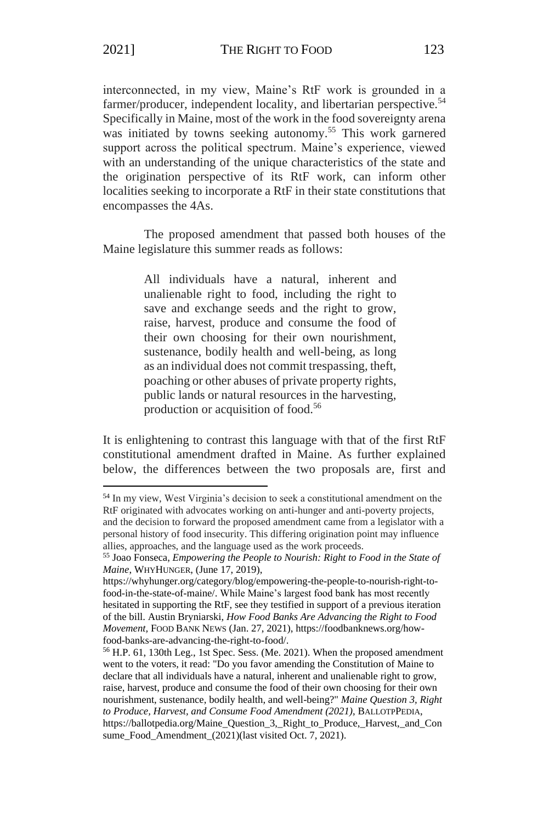interconnected, in my view, Maine's RtF work is grounded in a farmer/producer, independent locality, and libertarian perspective.<sup>54</sup> Specifically in Maine, most of the work in the food sovereignty arena was initiated by towns seeking autonomy.<sup>55</sup> This work garnered support across the political spectrum. Maine's experience, viewed with an understanding of the unique characteristics of the state and the origination perspective of its RtF work, can inform other localities seeking to incorporate a RtF in their state constitutions that

The proposed amendment that passed both houses of the Maine legislature this summer reads as follows:

> All individuals have a natural, inherent and unalienable right to food, including the right to save and exchange seeds and the right to grow, raise, harvest, produce and consume the food of their own choosing for their own nourishment, sustenance, bodily health and well-being, as long as an individual does not commit trespassing, theft, poaching or other abuses of private property rights, public lands or natural resources in the harvesting, production or acquisition of food.<sup>56</sup>

It is enlightening to contrast this language with that of the first RtF constitutional amendment drafted in Maine. As further explained below, the differences between the two proposals are, first and

encompasses the 4As.

<sup>54</sup> In my view, West Virginia's decision to seek a constitutional amendment on the RtF originated with advocates working on anti-hunger and anti-poverty projects, and the decision to forward the proposed amendment came from a legislator with a personal history of food insecurity. This differing origination point may influence allies, approaches, and the language used as the work proceeds.

<sup>55</sup> Joao Fonseca, *Empowering the People to Nourish: Right to Food in the State of Maine*, WHYHUNGER, (June 17, 2019),

https://whyhunger.org/category/blog/empowering-the-people-to-nourish-right-tofood-in-the-state-of-maine/. While Maine's largest food bank has most recently hesitated in supporting the RtF, see they testified in support of a previous iteration of the bill. Austin Bryniarski, *How Food Banks Are Advancing the Right to Food Movement,* FOOD BANK NEWS (Jan. 27, 2021), https://foodbanknews.org/howfood-banks-are-advancing-the-right-to-food/.

<sup>56</sup> H.P. 61, 130th Leg., 1st Spec. Sess. (Me. 2021). When the proposed amendment went to the voters, it read: "Do you favor amending the Constitution of Maine to declare that all individuals have a natural, inherent and unalienable right to grow, raise, harvest, produce and consume the food of their own choosing for their own nourishment, sustenance, bodily health, and well-being?" *Maine Question 3, Right to Produce, Harvest, and Consume Food Amendment (2021)*, BALLOTPPEDIA, https://ballotpedia.org/Maine\_Question\_3,\_Right\_to\_Produce,\_Harvest,\_and\_Con sume\_Food\_Amendment\_(2021)(last visited Oct. 7, 2021).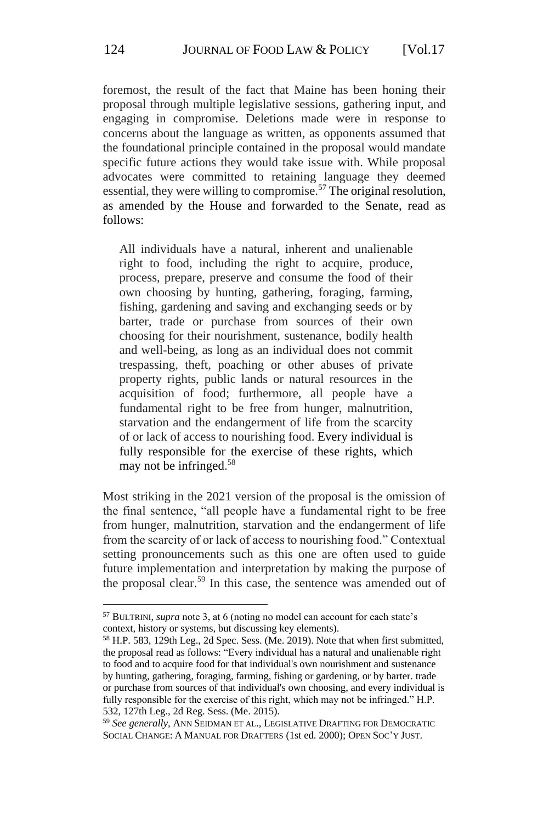foremost, the result of the fact that Maine has been honing their proposal through multiple legislative sessions, gathering input, and engaging in compromise. Deletions made were in response to concerns about the language as written, as opponents assumed that the foundational principle contained in the proposal would mandate specific future actions they would take issue with. While proposal advocates were committed to retaining language they deemed essential, they were willing to compromise.<sup>57</sup> The original resolution, as amended by the House and forwarded to the Senate, read as follows:

All individuals have a natural, inherent and unalienable right to food, including the right to acquire*,* produce, process, prepare, preserve and consume the food of their own choosing by hunting, gathering, foraging, farming, fishing*,* gardening and saving and exchanging seeds or by barter*,* trade or purchase from sources of their own choosing for their nourishment, sustenance, bodily health and well-being, as long as an individual does not commit trespassing, theft, poaching or other abuses of private property rights, public lands or natural resources in the acquisition of food; furthermore, all people have a fundamental right to be free from hunger, malnutrition, starvation and the endangerment of life from the scarcity of or lack of access to nourishing food. Every individual is fully responsible for the exercise of these rights, which may not be infringed. 58

Most striking in the 2021 version of the proposal is the omission of the final sentence, "all people have a fundamental right to be free from hunger, malnutrition, starvation and the endangerment of life from the scarcity of or lack of access to nourishing food." Contextual setting pronouncements such as this one are often used to guide future implementation and interpretation by making the purpose of the proposal clear.<sup>59</sup> In this case, the sentence was amended out of

<sup>57</sup> BULTRINI, *supra* note 3, at 6 (noting no model can account for each state's context, history or systems, but discussing key elements).

<sup>58</sup> H.P. 583, 129th Leg., 2d Spec. Sess. (Me. 2019). Note that when first submitted, the proposal read as follows: "Every individual has a natural and unalienable right to food and to acquire food for that individual's own nourishment and sustenance by hunting, gathering, foraging, farming, fishing or gardening, or by barter. trade or purchase from sources of that individual's own choosing, and every individual is fully responsible for the exercise of this right, which may not be infringed." H.P. 532, 127th Leg., 2d Reg. Sess. (Me. 2015).

<sup>59</sup> *See generally,* ANN SEIDMAN ET AL., LEGISLATIVE DRAFTING FOR DEMOCRATIC SOCIAL CHANGE: A MANUAL FOR DRAFTERS (1st ed. 2000); OPEN SOC'Y JUST.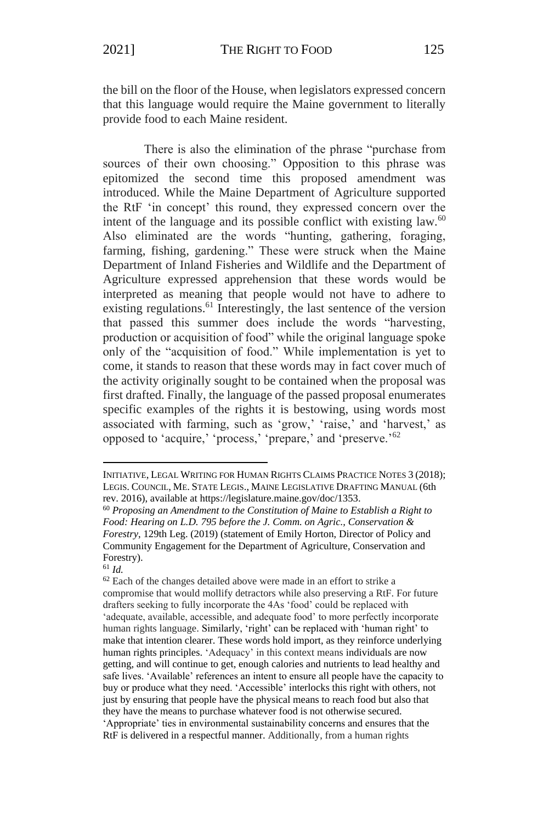the bill on the floor of the House, when legislators expressed concern that this language would require the Maine government to literally provide food to each Maine resident.

There is also the elimination of the phrase "purchase from sources of their own choosing." Opposition to this phrase was epitomized the second time this proposed amendment was introduced. While the Maine Department of Agriculture supported the RtF 'in concept' this round, they expressed concern over the intent of the language and its possible conflict with existing law. $^{60}$ Also eliminated are the words "hunting, gathering, foraging, farming, fishing*,* gardening." These were struck when the Maine Department of Inland Fisheries and Wildlife and the Department of Agriculture expressed apprehension that these words would be interpreted as meaning that people would not have to adhere to existing regulations.<sup>61</sup> Interestingly, the last sentence of the version that passed this summer does include the words "harvesting, production or acquisition of food" while the original language spoke only of the "acquisition of food." While implementation is yet to come, it stands to reason that these words may in fact cover much of the activity originally sought to be contained when the proposal was first drafted. Finally, the language of the passed proposal enumerates specific examples of the rights it is bestowing, using words most associated with farming, such as 'grow,' 'raise,' and 'harvest,' as opposed to 'acquire,' 'process,' 'prepare,' and 'preserve.'<sup>62</sup>

INITIATIVE, LEGAL WRITING FOR HUMAN RIGHTS CLAIMS PRACTICE NOTES 3 (2018); LEGIS. COUNCIL, ME. STATE LEGIS., MAINE LEGISLATIVE DRAFTING MANUAL (6th rev. 2016), available at [https://legislature.maine.gov/doc/1353.](https://legislature.maine.gov/doc/1353)

<sup>60</sup> *Proposing an Amendment to the Constitution of Maine to Establish a Right to Food: Hearing on L.D. 795 before the J. Comm. on Agric., Conservation & Forestry*, 129th Leg. (2019) (statement of Emily Horton, Director of Policy and Community Engagement for the Department of Agriculture, Conservation and Forestry).

<sup>61</sup> *Id.*

<sup>&</sup>lt;sup>62</sup> Each of the changes detailed above were made in an effort to strike a compromise that would mollify detractors while also preserving a RtF. For future drafters seeking to fully incorporate the 4As 'food' could be replaced with 'adequate, available, accessible, and adequate food' to more perfectly incorporate human rights language. Similarly, 'right' can be replaced with 'human right' to make that intention clearer. These words hold import, as they reinforce underlying human rights principles. 'Adequacy' in this context means individuals are now getting, and will continue to get, enough calories and nutrients to lead healthy and safe lives. 'Available' references an intent to ensure all people have the capacity to buy or produce what they need. 'Accessible' interlocks this right with others, not just by ensuring that people have the physical means to reach food but also that they have the means to purchase whatever food is not otherwise secured. 'Appropriate' ties in environmental sustainability concerns and ensures that the RtF is delivered in a respectful manner. Additionally, from a human rights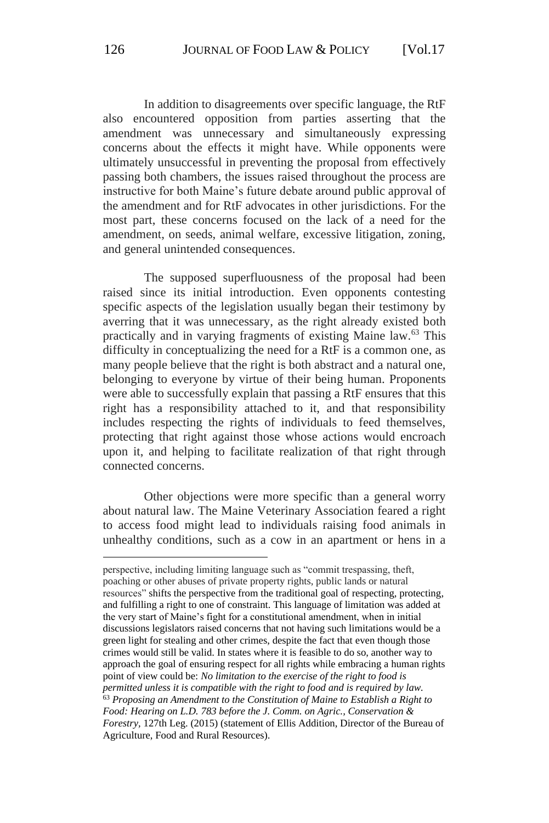In addition to disagreements over specific language, the RtF also encountered opposition from parties asserting that the amendment was unnecessary and simultaneously expressing concerns about the effects it might have. While opponents were ultimately unsuccessful in preventing the proposal from effectively passing both chambers, the issues raised throughout the process are instructive for both Maine's future debate around public approval of the amendment and for RtF advocates in other jurisdictions. For the most part, these concerns focused on the lack of a need for the amendment, on seeds, animal welfare, excessive litigation, zoning, and general unintended consequences.

The supposed superfluousness of the proposal had been raised since its initial introduction. Even opponents contesting specific aspects of the legislation usually began their testimony by averring that it was unnecessary, as the right already existed both practically and in varying fragments of existing Maine law.<sup>63</sup> This difficulty in conceptualizing the need for a RtF is a common one, as many people believe that the right is both abstract and a natural one, belonging to everyone by virtue of their being human. Proponents were able to successfully explain that passing a RtF ensures that this right has a responsibility attached to it, and that responsibility includes respecting the rights of individuals to feed themselves, protecting that right against those whose actions would encroach upon it, and helping to facilitate realization of that right through connected concerns.

Other objections were more specific than a general worry about natural law. The Maine Veterinary Association feared a right to access food might lead to individuals raising food animals in unhealthy conditions, such as a cow in an apartment or hens in a

perspective, including limiting language such as "commit trespassing, theft, poaching or other abuses of private property rights, public lands or natural resources" shifts the perspective from the traditional goal of respecting, protecting, and fulfilling a right to one of constraint. This language of limitation was added at the very start of Maine's fight for a constitutional amendment, when in initial discussions legislators raised concerns that not having such limitations would be a green light for stealing and other crimes, despite the fact that even though those crimes would still be valid. In states where it is feasible to do so, another way to approach the goal of ensuring respect for all rights while embracing a human rights point of view could be: *No limitation to the exercise of the right to food is permitted unless it is compatible with the right to food and is required by law.* <sup>63</sup> *Proposing an Amendment to the Constitution of Maine to Establish a Right to Food: Hearing on L.D. 783 before the J. Comm. on Agric., Conservation & Forestry,* 127th Leg. (2015) (statement of Ellis Addition, Director of the Bureau of Agriculture, Food and Rural Resources).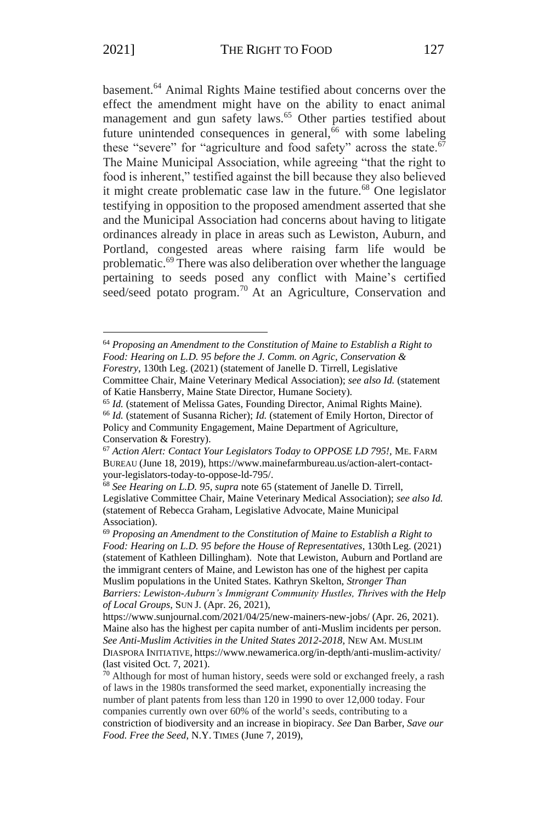basement.<sup>64</sup> Animal Rights Maine testified about concerns over the effect the amendment might have on the ability to enact animal management and gun safety laws.<sup>65</sup> Other parties testified about future unintended consequences in general, $66$  with some labeling these "severe" for "agriculture and food safety" across the state.<sup>67</sup> The Maine Municipal Association, while agreeing "that the right to food is inherent," testified against the bill because they also believed it might create problematic case law in the future.<sup>68</sup> One legislator testifying in opposition to the proposed amendment asserted that she and the Municipal Association had concerns about having to litigate ordinances already in place in areas such as Lewiston, Auburn, and Portland, congested areas where raising farm life would be problematic.<sup>69</sup> There was also deliberation over whether the language pertaining to seeds posed any conflict with Maine's certified seed/seed potato program.<sup>70</sup> At an Agriculture, Conservation and

<sup>64</sup> *Proposing an Amendment to the Constitution of Maine to Establish a Right to Food: Hearing on L.D. 95 before the J. Comm. on Agric, Conservation & Forestry*, 130th Leg. (2021) (statement of Janelle D. Tirrell, Legislative

Committee Chair, Maine Veterinary Medical Association); *see also Id.* (statement of Katie Hansberry, Maine State Director, Humane Society).

<sup>65</sup> *Id.* (statement of Melissa Gates, Founding Director, Animal Rights Maine).

<sup>66</sup> *Id.* (statement of Susanna Richer); *Id.* (statement of Emily Horton, Director of Policy and Community Engagement, Maine Department of Agriculture, Conservation & Forestry).

<sup>67</sup> *Action Alert: Contact Your Legislators Today to OPPOSE LD 795!,* ME. FARM BUREAU (June 18, 2019), https://www.mainefarmbureau.us/action-alert-contactyour-legislators-today-to-oppose-ld-795/.

<sup>68</sup> *See Hearing on L.D. 95, supra* note 65 (statement of Janelle D. Tirrell, Legislative Committee Chair, Maine Veterinary Medical Association); *see also Id.*  (statement of Rebecca Graham, Legislative Advocate, Maine Municipal Association).

<sup>69</sup> *Proposing an Amendment to the Constitution of Maine to Establish a Right to Food: Hearing on L.D. 95 before the House of Representatives*, 130th Leg. (2021) (statement of Kathleen Dillingham). Note that Lewiston, Auburn and Portland are the immigrant centers of Maine, and Lewiston has one of the highest per capita Muslim populations in the United States. Kathryn Skelton, *Stronger Than Barriers: Lewiston-Auburn's Immigrant Community Hustles, Thrives with the Help of Local Groups*, SUN J. (Apr. 26, 2021),

https://www.sunjournal.com/2021/04/25/new-mainers-new-jobs/ (Apr. 26, 2021). Maine also has the highest per capita number of anti-Muslim incidents per person. *See Anti-Muslim Activities in the United States 2012-2018*, NEW AM. MUSLIM DIASPORA INITIATIVE, <https://www.newamerica.org/in-depth/anti-muslim-activity/> (last visited Oct. 7, 2021).

<sup>70</sup> Although for most of human history, seeds were sold or exchanged freely, a rash of laws in the 1980s transformed the seed market, exponentially increasing the number of plant patents from less than 120 in 1990 to over 12,000 today. Four companies currently own over 60% of the world's seeds, contributing to a constriction of biodiversity and an increase in biopiracy. *See* Dan Barber, *Save our Food. Free the Seed*, N.Y. TIMES (June 7, 2019),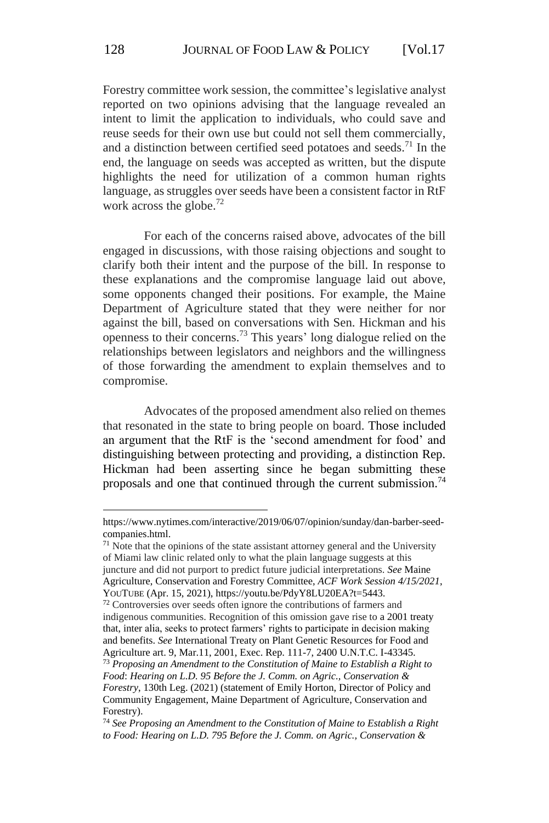Forestry committee work session, the committee's legislative analyst reported on two opinions advising that the language revealed an intent to limit the application to individuals, who could save and reuse seeds for their own use but could not sell them commercially, and a distinction between certified seed potatoes and seeds.<sup>71</sup> In the end, the language on seeds was accepted as written, but the dispute highlights the need for utilization of a common human rights language, as struggles over seeds have been a consistent factor in RtF work across the globe.<sup>72</sup>

For each of the concerns raised above, advocates of the bill engaged in discussions, with those raising objections and sought to clarify both their intent and the purpose of the bill. In response to these explanations and the compromise language laid out above, some opponents changed their positions. For example, the Maine Department of Agriculture stated that they were neither for nor against the bill, based on conversations with Sen. Hickman and his openness to their concerns.<sup>73</sup> This years' long dialogue relied on the relationships between legislators and neighbors and the willingness of those forwarding the amendment to explain themselves and to compromise.

Advocates of the proposed amendment also relied on themes that resonated in the state to bring people on board. Those included an argument that the RtF is the 'second amendment for food' and distinguishing between protecting and providing, a distinction Rep. Hickman had been asserting since he began submitting these proposals and one that continued through the current submission.<sup>74</sup>

https://www.nytimes.com/interactive/2019/06/07/opinion/sunday/dan-barber-seedcompanies.html.

 $71$  Note that the opinions of the state assistant attorney general and the University of Miami law clinic related only to what the plain language suggests at this juncture and did not purport to predict future judicial interpretations. *See* Maine Agriculture, Conservation and Forestry Committee, *ACF Work Session 4/15/2021*, YOUTUBE (Apr. 15, 2021), https://youtu.be/PdyY8LU20EA?t=5443.

<sup>72</sup> Controversies over seeds often ignore the contributions of farmers and indigenous communities. Recognition of this omission gave rise to a 2001 treaty that, inter alia, seeks to protect farmers' rights to participate in decision making and benefits. *See* International Treaty on Plant Genetic Resources for Food and Agriculture art. 9, Mar.11, 2001, Exec. Rep. 111-7, 2400 U.N.T.C. I-43345. <sup>73</sup> *Proposing an Amendment to the Constitution of Maine to Establish a Right to Food*: *Hearing on L.D. 95 Before the J. Comm. on Agric., Conservation & Forestry*, 130th Leg. (2021) (statement of Emily Horton, Director of Policy and Community Engagement, Maine Department of Agriculture, Conservation and Forestry).

<sup>74</sup> *See Proposing an Amendment to the Constitution of Maine to Establish a Right to Food: Hearing on L.D. 795 Before the J. Comm. on Agric., Conservation &*